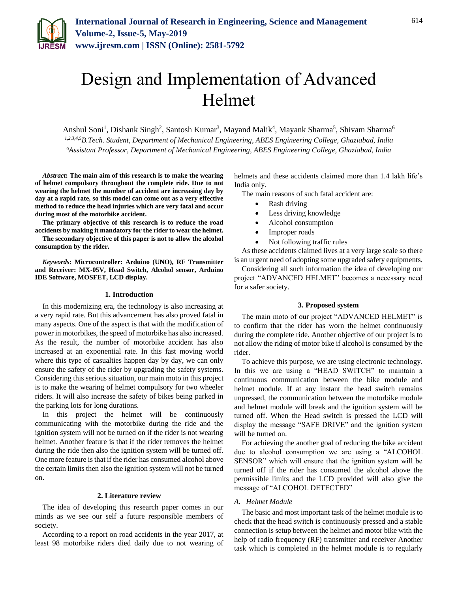

# Design and Implementation of Advanced Helmet

Anshul Soni<sup>1</sup>, Dishank Singh<sup>2</sup>, Santosh Kumar<sup>3</sup>, Mayand Malik<sup>4</sup>, Mayank Sharma<sup>5</sup>, Shivam Sharma<sup>6</sup> *1,2,3,4,5B.Tech. Student, Department of Mechanical Engineering, ABES Engineering College, Ghaziabad, India 6Assistant Professor, Department of Mechanical Engineering, ABES Engineering College, Ghaziabad, India*

*Abstract***: The main aim of this research is to make the wearing of helmet compulsory throughout the complete ride. Due to not wearing the helmet the number of accident are increasing day by day at a rapid rate, so this model can come out as a very effective method to reduce the head injuries which are very fatal and occur during most of the motorbike accident.**

**The primary objective of this research is to reduce the road accidents by making it mandatory for the rider to wear the helmet.**

**The secondary objective of this paper is not to allow the alcohol consumption by the rider.**

*Keywords***: Microcontroller: Arduino (UNO), RF Transmitter and Receiver: MX-05V, Head Switch, Alcohol sensor, Arduino IDE Software, MOSFET, LCD display.**

#### **1. Introduction**

In this modernizing era, the technology is also increasing at a very rapid rate. But this advancement has also proved fatal in many aspects. One of the aspect is that with the modification of power in motorbikes, the speed of motorbike has also increased. As the result, the number of motorbike accident has also increased at an exponential rate. In this fast moving world where this type of casualties happen day by day, we can only ensure the safety of the rider by upgrading the safety systems. Considering this serious situation, our main moto in this project is to make the wearing of helmet compulsory for two wheeler riders. It will also increase the safety of bikes being parked in the parking lots for long durations.

In this project the helmet will be continuously communicating with the motorbike during the ride and the ignition system will not be turned on if the rider is not wearing helmet. Another feature is that if the rider removes the helmet during the ride then also the ignition system will be turned off. One more feature is that if the rider has consumed alcohol above the certain limits then also the ignition system will not be turned on.

## **2. Literature review**

The idea of developing this research paper comes in our minds as we see our self a future responsible members of society.

According to a report on road accidents in the year 2017, at least 98 motorbike riders died daily due to not wearing of helmets and these accidents claimed more than 1.4 lakh life's India only.

The main reasons of such fatal accident are:

- Rash driving
- Less driving knowledge
- Alcohol consumption
- Improper roads
- Not following traffic rules

As these accidents claimed lives at a very large scale so there is an urgent need of adopting some upgraded safety equipments.

Considering all such information the idea of developing our project "ADVANCED HELMET" becomes a necessary need for a safer society.

#### **3. Proposed system**

The main moto of our project "ADVANCED HELMET" is to confirm that the rider has worn the helmet continuously during the complete ride. Another objective of our project is to not allow the riding of motor bike if alcohol is consumed by the rider.

To achieve this purpose, we are using electronic technology. In this we are using a "HEAD SWITCH" to maintain a continuous communication between the bike module and helmet module. If at any instant the head switch remains unpressed, the communication between the motorbike module and helmet module will break and the ignition system will be turned off. When the Head switch is pressed the LCD will display the message "SAFE DRIVE" and the ignition system will be turned on.

For achieving the another goal of reducing the bike accident due to alcohol consumption we are using a "ALCOHOL SENSOR" which will ensure that the ignition system will be turned off if the rider has consumed the alcohol above the permissible limits and the LCD provided will also give the message of "ALCOHOL DETECTED"

# *A. Helmet Module*

The basic and most important task of the helmet module is to check that the head switch is continuously pressed and a stable connection is setup between the helmet and motor bike with the help of radio frequency (RF) transmitter and receiver Another task which is completed in the helmet module is to regularly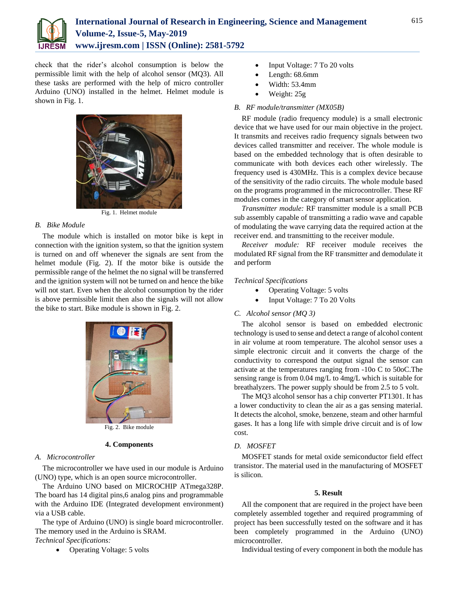

check that the rider's alcohol consumption is below the permissible limit with the help of alcohol sensor (MQ3). All these tasks are performed with the help of micro controller Arduino (UNO) installed in the helmet. Helmet module is shown in Fig. 1.



Fig. 1. Helmet module

### *B. Bike Module*

The module which is installed on motor bike is kept in connection with the ignition system, so that the ignition system is turned on and off whenever the signals are sent from the helmet module (Fig. 2). If the motor bike is outside the permissible range of the helmet the no signal will be transferred and the ignition system will not be turned on and hence the bike will not start. Even when the alcohol consumption by the rider is above permissible limit then also the signals will not allow the bike to start. Bike module is shown in Fig. 2.



Fig. 2. Bike module

## **4. Components**

#### *A. Microcontroller*

The microcontroller we have used in our module is Arduino (UNO) type, which is an open source microcontroller.

The Arduino UNO based on MICROCHIP ATmega328P. The board has 14 digital pins,6 analog pins and programmable with the Arduino IDE (Integrated development environment) via a USB cable.

The type of Arduino (UNO) is single board microcontroller. The memory used in the Arduino is SRAM. *Technical Specifications:* 

• Operating Voltage: 5 volts

- Input Voltage: 7 To 20 volts
- Length: 68.6mm
- Width: 53.4mm
- Weight: 25g

#### *B. RF module/transmitter (MX05B)*

RF module (radio frequency module) is a small electronic device that we have used for our main objective in the project. It transmits and receives radio frequency signals between two devices called transmitter and receiver. The whole module is based on the embedded technology that is often desirable to communicate with both devices each other wirelessly. The frequency used is 430MHz. This is a complex device because of the sensitivity of the radio circuits. The whole module based on the programs programmed in the microcontroller. These RF modules comes in the category of smart sensor application.

*Transmitter module:* RF transmitter module is a small PCB sub assembly capable of transmitting a radio wave and capable of modulating the wave carrying data the required action at the receiver end. and transmitting to the receiver module.

*Receiver module:* RF receiver module receives the modulated RF signal from the RF transmitter and demodulate it and perform

#### *Technical Specifications*

- Operating Voltage: 5 volts
- Input Voltage: 7 To 20 Volts

## *C. Alcohol sensor (MQ 3)*

The alcohol sensor is based on embedded electronic technology is used to sense and detect a range of alcohol content in air volume at room temperature. The alcohol sensor uses a simple electronic circuit and it converts the charge of the conductivity to correspond the output signal the sensor can activate at the temperatures ranging from -10o C to 50oC.The sensing range is from 0.04 mg/L to 4mg/L which is suitable for breathalyzers. The power supply should be from 2.5 to 5 volt.

The MQ3 alcohol sensor has a chip converter PT1301. It has a lower conductivity to clean the air as a gas sensing material. It detects the alcohol, smoke, benzene, steam and other harmful gases. It has a long life with simple drive circuit and is of low cost.

## *D. MOSFET*

MOSFET stands for metal oxide semiconductor field effect transistor. The material used in the manufacturing of MOSFET is silicon.

#### **5. Result**

All the component that are required in the project have been completely assembled together and required programming of project has been successfully tested on the software and it has been completely programmed in the Arduino (UNO) microcontroller.

Individual testing of every component in both the module has